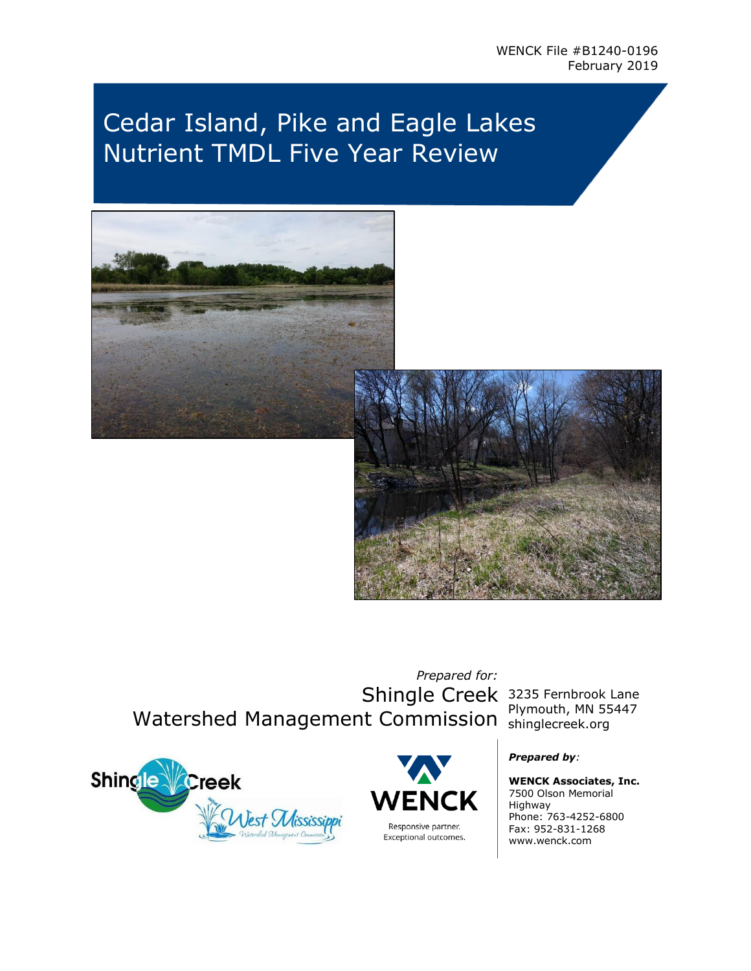# Cedar Island, Pike and Eagle Lakes Nutrient TMDL Five Year Review



*Prepared for:* Shingle Creek 3235 Fernbrook Lane Watershed Management Commission Shinglecreek.org

Plymouth, MN 55447





#### *Prepared by:*

**WENCK Associates, Inc.** 7500 Olson Memorial Highway Phone: 763-4252-6800 Fax: 952-831-1268 www.wenck.com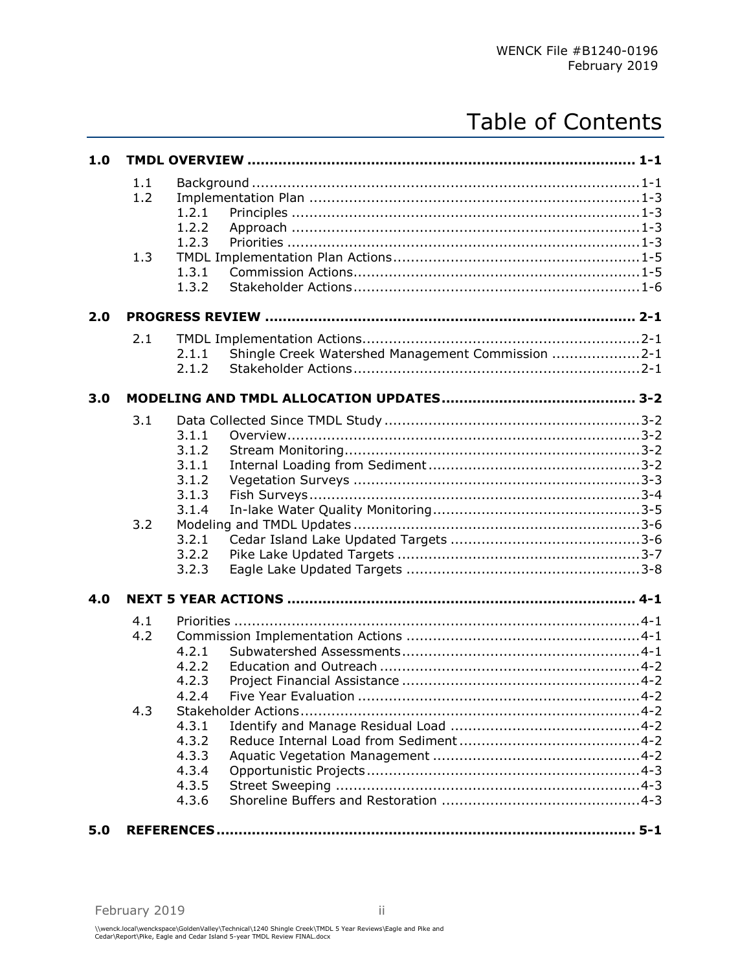# Table of Contents

| 1.0 |                   |                                                                     |
|-----|-------------------|---------------------------------------------------------------------|
|     | 1.1<br>1.2<br>1.3 | 1.2.1<br>1.2.2<br>1.2.3<br>1.3.1<br>1.3.2                           |
| 2.0 |                   |                                                                     |
|     | 2.1               | Shingle Creek Watershed Management Commission 2-1<br>2.1.1<br>2.1.2 |
| 3.0 |                   |                                                                     |
|     | 3.1               | 3.1.1<br>3.1.2<br>3.1.1<br>3.1.2                                    |
|     | 3.2               | 3.1.3<br>3.1.4<br>3.2.1<br>3.2.2<br>3.2.3                           |
| 4.0 |                   |                                                                     |
|     | 4.1<br>4.2        | 4.2.1<br>4.2.2<br>4.2.3<br>4.2.4                                    |
|     | 4.3               | 4.3.1<br>4.3.2<br>4.3.3<br>4.3.4<br>4.3.5<br>4.3.6                  |
| 5.0 |                   |                                                                     |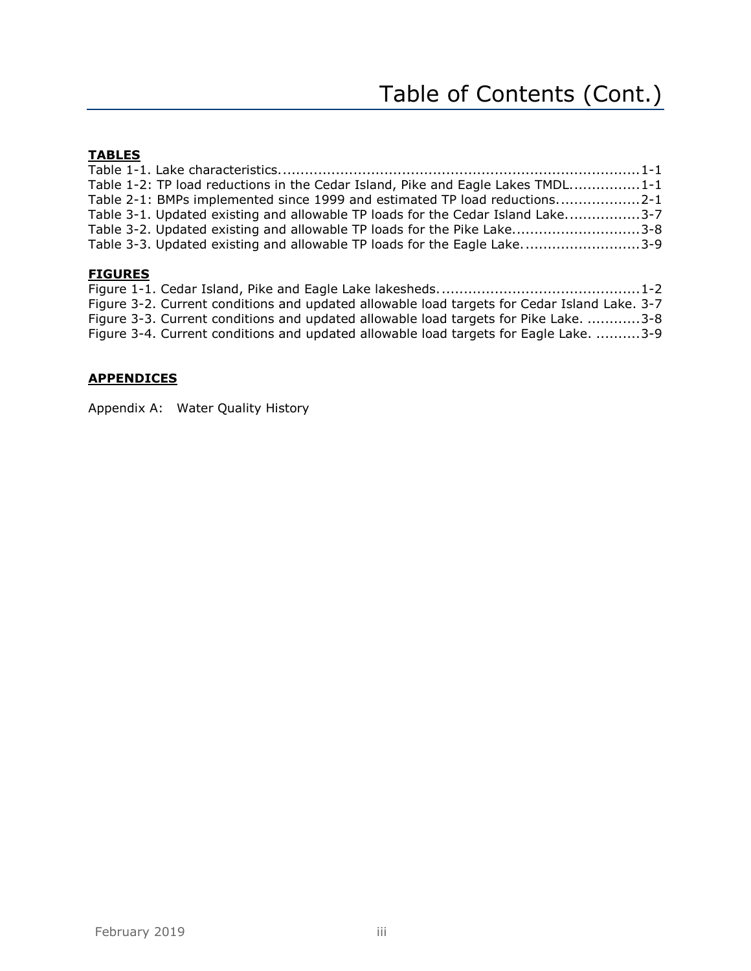# **TABLES**

| Table 1-2: TP load reductions in the Cedar Island, Pike and Eagle Lakes TMDL1-1 |  |
|---------------------------------------------------------------------------------|--|
| Table 2-1: BMPs implemented since 1999 and estimated TP load reductions2-1      |  |
| Table 3-1. Updated existing and allowable TP loads for the Cedar Island Lake3-7 |  |
| Table 3-2. Updated existing and allowable TP loads for the Pike Lake3-8         |  |
| Table 3-3. Updated existing and allowable TP loads for the Eagle Lake3-9        |  |
|                                                                                 |  |

# **FIGURES**

|  | Figure 3-2. Current conditions and updated allowable load targets for Cedar Island Lake. 3-7 |  |
|--|----------------------------------------------------------------------------------------------|--|
|  | Figure 3-3. Current conditions and updated allowable load targets for Pike Lake. 3-8         |  |
|  | Figure 3-4. Current conditions and updated allowable load targets for Eagle Lake. 3-9        |  |

## **APPENDICES**

Appendix A: Water Quality History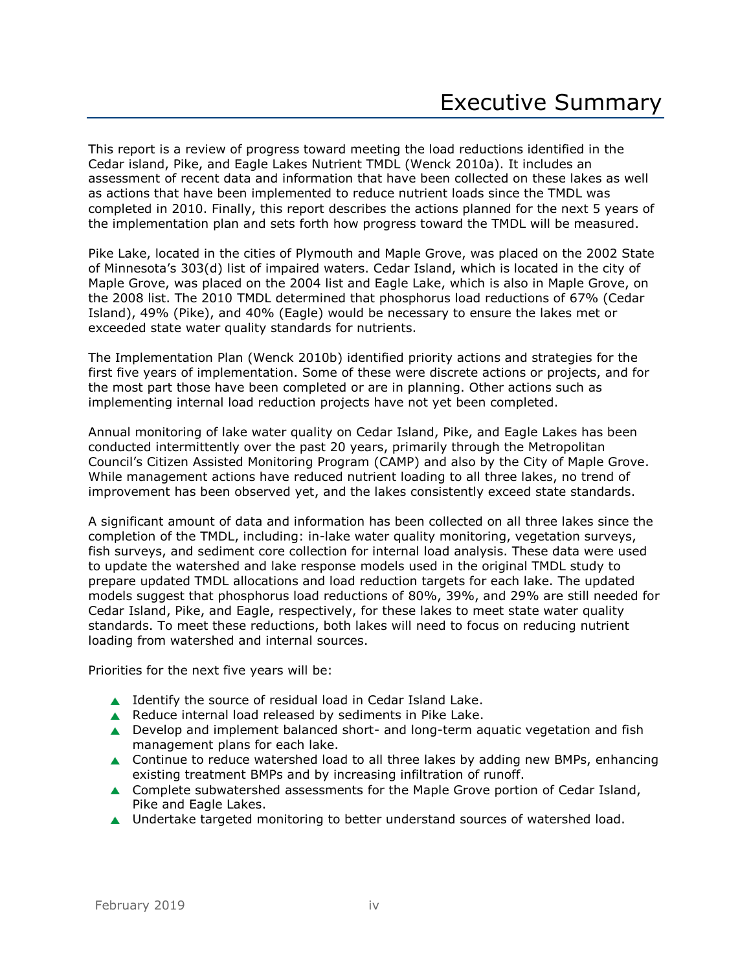This report is a review of progress toward meeting the load reductions identified in the Cedar island, Pike, and Eagle Lakes Nutrient TMDL (Wenck 2010a). It includes an assessment of recent data and information that have been collected on these lakes as well as actions that have been implemented to reduce nutrient loads since the TMDL was completed in 2010. Finally, this report describes the actions planned for the next 5 years of the implementation plan and sets forth how progress toward the TMDL will be measured.

Pike Lake, located in the cities of Plymouth and Maple Grove, was placed on the 2002 State of Minnesota's 303(d) list of impaired waters. Cedar Island, which is located in the city of Maple Grove, was placed on the 2004 list and Eagle Lake, which is also in Maple Grove, on the 2008 list. The 2010 TMDL determined that phosphorus load reductions of 67% (Cedar Island), 49% (Pike), and 40% (Eagle) would be necessary to ensure the lakes met or exceeded state water quality standards for nutrients.

The Implementation Plan (Wenck 2010b) identified priority actions and strategies for the first five years of implementation. Some of these were discrete actions or projects, and for the most part those have been completed or are in planning. Other actions such as implementing internal load reduction projects have not yet been completed.

Annual monitoring of lake water quality on Cedar Island, Pike, and Eagle Lakes has been conducted intermittently over the past 20 years, primarily through the Metropolitan Council's Citizen Assisted Monitoring Program (CAMP) and also by the City of Maple Grove. While management actions have reduced nutrient loading to all three lakes, no trend of improvement has been observed yet, and the lakes consistently exceed state standards.

A significant amount of data and information has been collected on all three lakes since the completion of the TMDL, including: in-lake water quality monitoring, vegetation surveys, fish surveys, and sediment core collection for internal load analysis. These data were used to update the watershed and lake response models used in the original TMDL study to prepare updated TMDL allocations and load reduction targets for each lake. The updated models suggest that phosphorus load reductions of 80%, 39%, and 29% are still needed for Cedar Island, Pike, and Eagle, respectively, for these lakes to meet state water quality standards. To meet these reductions, both lakes will need to focus on reducing nutrient loading from watershed and internal sources.

Priorities for the next five years will be:

- ▲ Identify the source of residual load in Cedar Island Lake.
- Reduce internal load released by sediments in Pike Lake.
- ▲ Develop and implement balanced short- and long-term aquatic vegetation and fish management plans for each lake.
- ▲ Continue to reduce watershed load to all three lakes by adding new BMPs, enhancing existing treatment BMPs and by increasing infiltration of runoff.
- ▲ Complete subwatershed assessments for the Maple Grove portion of Cedar Island, Pike and Eagle Lakes.
- ▲ Undertake targeted monitoring to better understand sources of watershed load.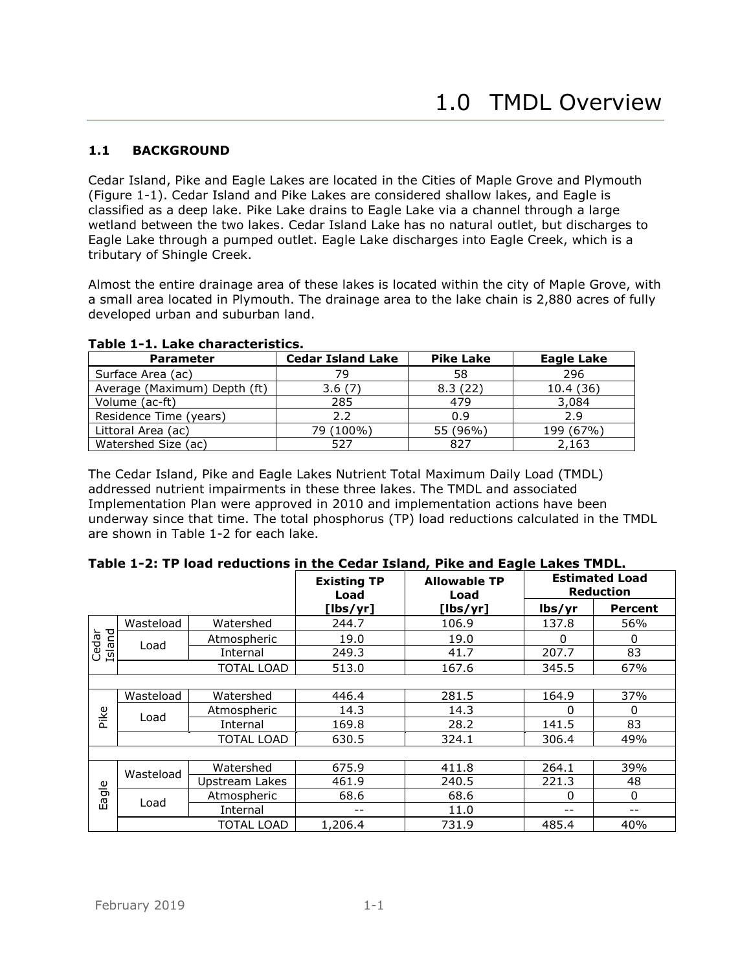## <span id="page-4-1"></span><span id="page-4-0"></span>**1.1 BACKGROUND**

Cedar Island, Pike and Eagle Lakes are located in the Cities of Maple Grove and Plymouth (Figure 1-1). Cedar Island and Pike Lakes are considered shallow lakes, and Eagle is classified as a deep lake. Pike Lake drains to Eagle Lake via a channel through a large wetland between the two lakes. Cedar Island Lake has no natural outlet, but discharges to Eagle Lake through a pumped outlet. Eagle Lake discharges into Eagle Creek, which is a tributary of Shingle Creek.

Almost the entire drainage area of these lakes is located within the city of Maple Grove, with a small area located in Plymouth. The drainage area to the lake chain is 2,880 acres of fully developed urban and suburban land.

| <b>Parameter</b>             | <b>Cedar Island Lake</b> | <b>Pike Lake</b> | <b>Eagle Lake</b> |
|------------------------------|--------------------------|------------------|-------------------|
| Surface Area (ac)            | 79                       | 58               | 296               |
| Average (Maximum) Depth (ft) | 3.6(7)                   | 8.3(22)          | 10.4(36)          |
| Volume (ac-ft)               | 285                      | 479              | 3,084             |
| Residence Time (years)       | 2.2                      | 0.9              | 2.9               |
| Littoral Area (ac)           | 79 (100%)                | 55 (96%)         | 199 (67%)         |
| Watershed Size (ac)          | 527                      | 827              | 2.163             |

#### <span id="page-4-2"></span>**Table 1-1. Lake characteristics.**

The Cedar Island, Pike and Eagle Lakes Nutrient Total Maximum Daily Load (TMDL) addressed nutrient impairments in these three lakes. The TMDL and associated Implementation Plan were approved in 2010 and implementation actions have been underway since that time. The total phosphorus (TP) load reductions calculated in the TMDL are shown in Table 1-2 for each lake.

<span id="page-4-3"></span>

| Table 1-2: TP load reductions in the Cedar Island, Pike and Eagle Lakes TMDL. |  |  |
|-------------------------------------------------------------------------------|--|--|
|                                                                               |  |  |

|                 |                   |                   | <b>Existing TP</b><br>Load |          | <b>Estimated Load</b><br><b>Reduction</b> |                |
|-----------------|-------------------|-------------------|----------------------------|----------|-------------------------------------------|----------------|
|                 |                   |                   | [lbs/yr]                   | [lbs/yr] | lbs/yr                                    | <b>Percent</b> |
|                 | Wasteload         | Watershed         | 244.7                      | 106.9    | 137.8                                     | 56%            |
| Island<br>Cedar |                   | Atmospheric       | 19.0                       | 19.0     | $\Omega$                                  | 0              |
|                 | Load              | Internal          | 249.3                      | 41.7     | 207.7                                     | 83             |
|                 |                   | <b>TOTAL LOAD</b> | 513.0                      | 167.6    | 345.5                                     | 67%            |
|                 |                   |                   |                            |          |                                           |                |
|                 | Wasteload         | Watershed         | 446.4                      | 281.5    | 164.9                                     | 37%            |
| Pike            | Load              | Atmospheric       | 14.3                       | 14.3     | 0                                         | 0              |
|                 |                   | Internal          | 169.8                      | 28.2     | 141.5                                     | 83             |
|                 | <b>TOTAL LOAD</b> |                   | 630.5                      | 324.1    | 306.4                                     | 49%            |
|                 |                   |                   |                            |          |                                           |                |
|                 | Wasteload         | Watershed         | 675.9                      | 411.8    | 264.1                                     | 39%            |
|                 |                   | Upstream Lakes    | 461.9                      | 240.5    | 221.3                                     | 48             |
| agle            | Load              | Atmospheric       | 68.6                       | 68.6     | $\Omega$                                  | 0              |
| Ш               |                   | Internal          | --                         | 11.0     | --                                        |                |
|                 |                   | <b>TOTAL LOAD</b> | 1,206.4                    | 731.9    | 485.4                                     | 40%            |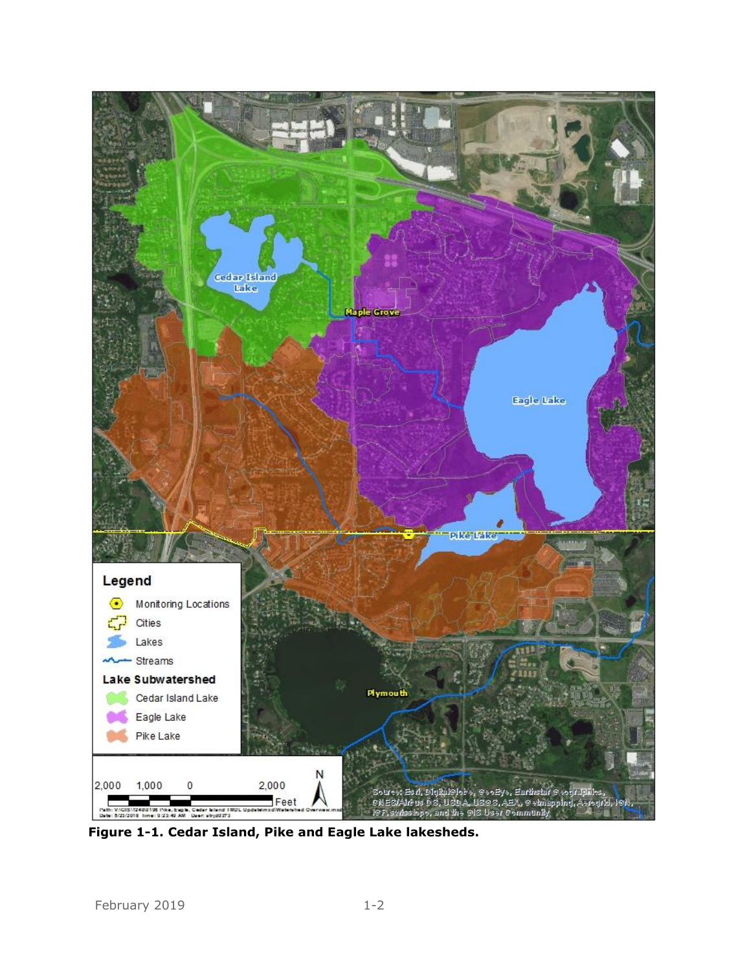

<span id="page-5-0"></span>**Figure 1-1. Cedar Island, Pike and Eagle Lake lakesheds.**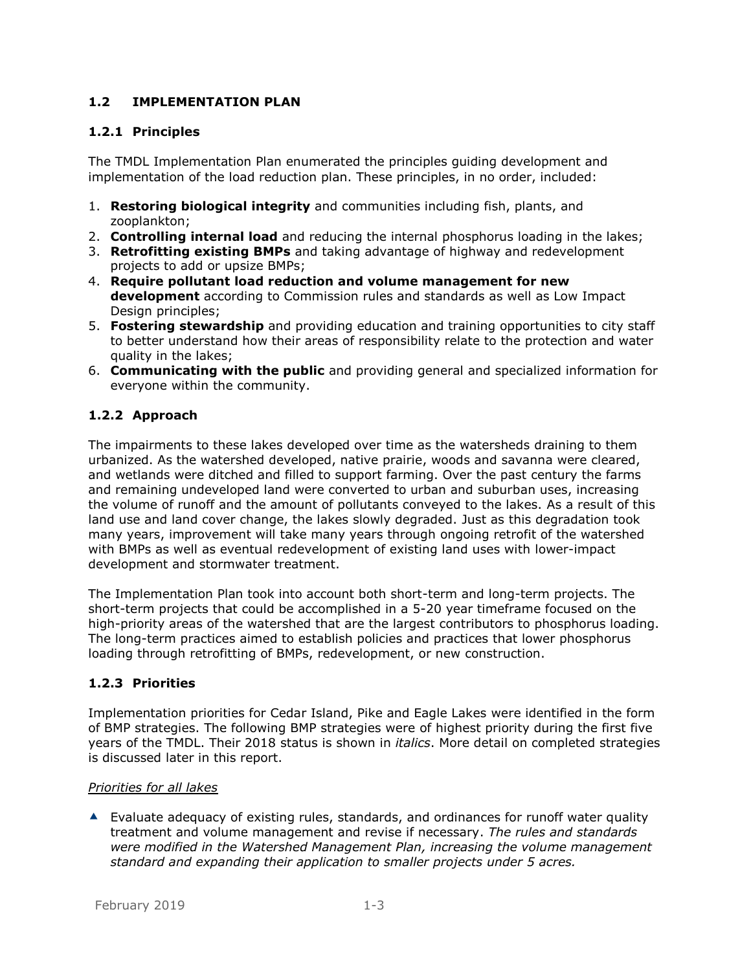## <span id="page-6-0"></span>**1.2 IMPLEMENTATION PLAN**

#### <span id="page-6-1"></span>**1.2.1 Principles**

The TMDL Implementation Plan enumerated the principles guiding development and implementation of the load reduction plan. These principles, in no order, included:

- 1. **Restoring biological integrity** and communities including fish, plants, and zooplankton;
- 2. **Controlling internal load** and reducing the internal phosphorus loading in the lakes;
- 3. **Retrofitting existing BMPs** and taking advantage of highway and redevelopment projects to add or upsize BMPs;
- 4. **Require pollutant load reduction and volume management for new development** according to Commission rules and standards as well as Low Impact Design principles:
- 5. **Fostering stewardship** and providing education and training opportunities to city staff to better understand how their areas of responsibility relate to the protection and water quality in the lakes;
- 6. **Communicating with the public** and providing general and specialized information for everyone within the community.

## <span id="page-6-2"></span>**1.2.2 Approach**

The impairments to these lakes developed over time as the watersheds draining to them urbanized. As the watershed developed, native prairie, woods and savanna were cleared, and wetlands were ditched and filled to support farming. Over the past century the farms and remaining undeveloped land were converted to urban and suburban uses, increasing the volume of runoff and the amount of pollutants conveyed to the lakes. As a result of this land use and land cover change, the lakes slowly degraded. Just as this degradation took many years, improvement will take many years through ongoing retrofit of the watershed with BMPs as well as eventual redevelopment of existing land uses with lower-impact development and stormwater treatment.

The Implementation Plan took into account both short-term and long-term projects. The short-term projects that could be accomplished in a 5-20 year timeframe focused on the high-priority areas of the watershed that are the largest contributors to phosphorus loading. The long-term practices aimed to establish policies and practices that lower phosphorus loading through retrofitting of BMPs, redevelopment, or new construction.

## <span id="page-6-3"></span>**1.2.3 Priorities**

Implementation priorities for Cedar Island, Pike and Eagle Lakes were identified in the form of BMP strategies. The following BMP strategies were of highest priority during the first five years of the TMDL. Their 2018 status is shown in *italics*. More detail on completed strategies is discussed later in this report.

#### *Priorities for all lakes*

 $\blacktriangle$  Evaluate adequacy of existing rules, standards, and ordinances for runoff water quality treatment and volume management and revise if necessary. *The rules and standards were modified in the Watershed Management Plan, increasing the volume management standard and expanding their application to smaller projects under 5 acres.*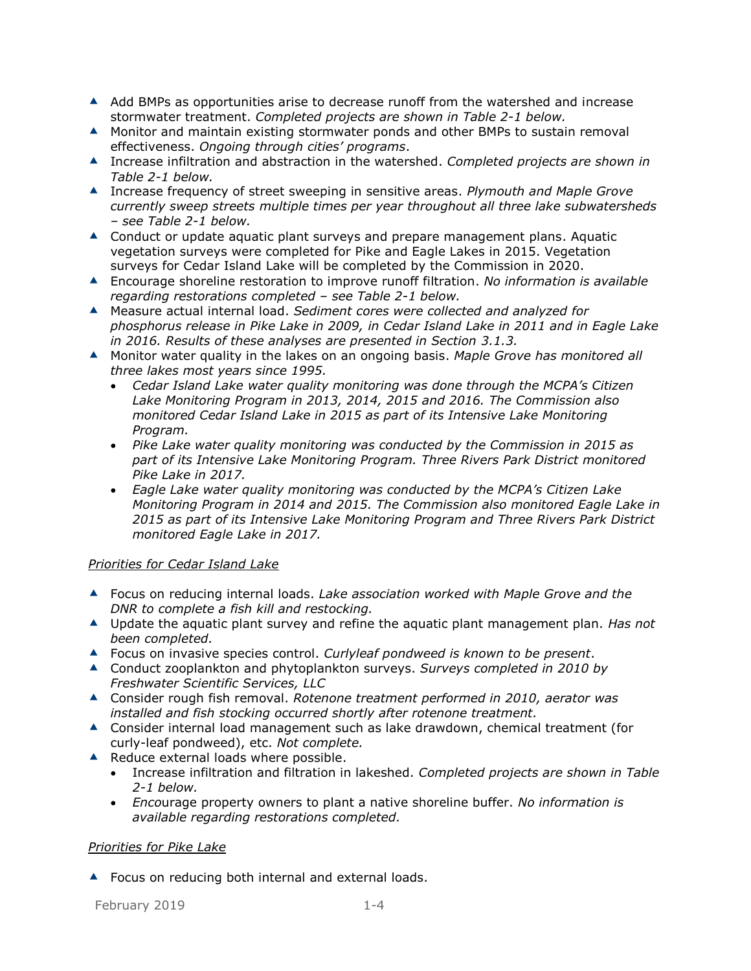- $\blacktriangle$  Add BMPs as opportunities arise to decrease runoff from the watershed and increase stormwater treatment. *Completed projects are shown in Table 2-1 below.*
- Monitor and maintain existing stormwater ponds and other BMPs to sustain removal effectiveness. *Ongoing through cities' programs*.
- Increase infiltration and abstraction in the watershed. *Completed projects are shown in Table 2-1 below.*
- Increase frequency of street sweeping in sensitive areas. *Plymouth and Maple Grove currently sweep streets multiple times per year throughout all three lake subwatersheds – see Table 2-1 below.*
- ▲ Conduct or update aquatic plant surveys and prepare management plans. Aquatic vegetation surveys were completed for Pike and Eagle Lakes in 2015. Vegetation surveys for Cedar Island Lake will be completed by the Commission in 2020.
- Encourage shoreline restoration to improve runoff filtration. *No information is available regarding restorations completed – see Table 2-1 below.*
- Measure actual internal load. *Sediment cores were collected and analyzed for phosphorus release in Pike Lake in 2009, in Cedar Island Lake in 2011 and in Eagle Lake in 2016. Results of these analyses are presented in Section 3.1.3.*
- Monitor water quality in the lakes on an ongoing basis. *Maple Grove has monitored all three lakes most years since 1995.* 
	- *Cedar Island Lake water quality monitoring was done through the MCPA's Citizen Lake Monitoring Program in 2013, 2014, 2015 and 2016. The Commission also monitored Cedar Island Lake in 2015 as part of its Intensive Lake Monitoring Program.*
	- *Pike Lake water quality monitoring was conducted by the Commission in 2015 as part of its Intensive Lake Monitoring Program. Three Rivers Park District monitored Pike Lake in 2017.*
	- *Eagle Lake water quality monitoring was conducted by the MCPA's Citizen Lake Monitoring Program in 2014 and 2015. The Commission also monitored Eagle Lake in 2015 as part of its Intensive Lake Monitoring Program and Three Rivers Park District monitored Eagle Lake in 2017.*

## *Priorities for Cedar Island Lake*

- Focus on reducing internal loads. *Lake association worked with Maple Grove and the DNR to complete a fish kill and restocking.*
- Update the aquatic plant survey and refine the aquatic plant management plan. *Has not been completed.*
- Focus on invasive species control. *Curlyleaf pondweed is known to be present*.
- Conduct zooplankton and phytoplankton surveys. *Surveys completed in 2010 by Freshwater Scientific Services, LLC*
- Consider rough fish removal. *Rotenone treatment performed in 2010, aerator was installed and fish stocking occurred shortly after rotenone treatment.*
- ▲ Consider internal load management such as lake drawdown, chemical treatment (for curly-leaf pondweed), etc. *Not complete.*
- ▲ Reduce external loads where possible.
	- Increase infiltration and filtration in lakeshed. *Completed projects are shown in Table 2-1 below.*
	- *Enco*urage property owners to plant a native shoreline buffer. *No information is available regarding restorations completed.*

#### *Priorities for Pike Lake*

▲ Focus on reducing both internal and external loads.

February 2019 1-4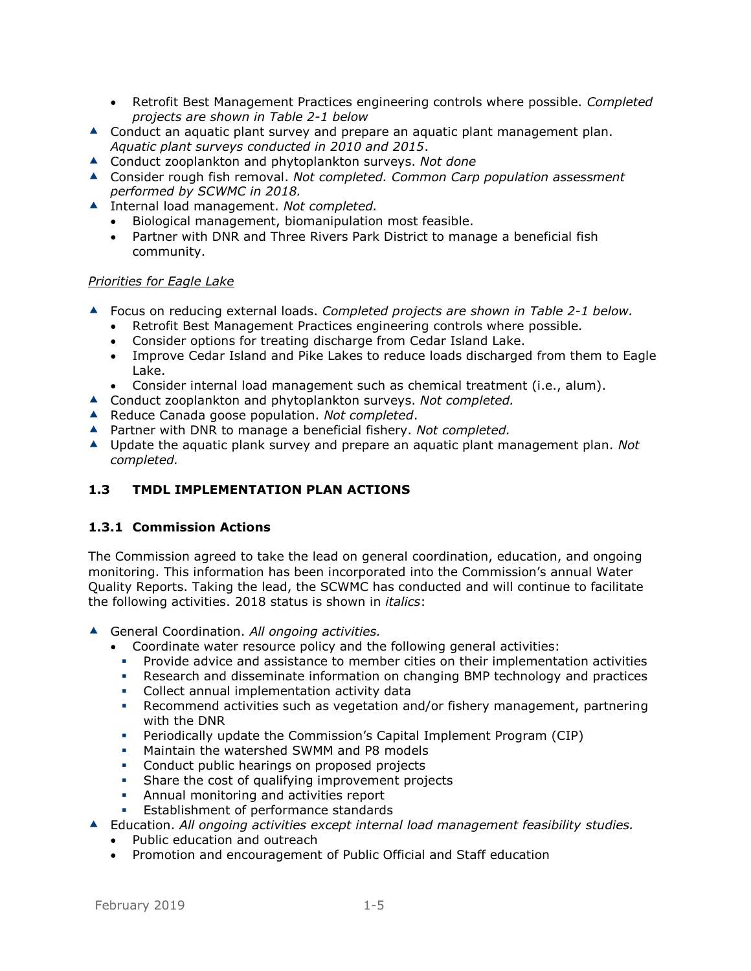- Retrofit Best Management Practices engineering controls where possible. *Completed projects are shown in Table 2-1 below*
- **▲** Conduct an aquatic plant survey and prepare an aquatic plant management plan. *Aquatic plant surveys conducted in 2010 and 2015*.
- Conduct zooplankton and phytoplankton surveys. *Not done*
- Consider rough fish removal. *Not completed. Common Carp population assessment performed by SCWMC in 2018.*
- ▲ Internal load management. *Not completed.* 
	- Biological management, biomanipulation most feasible.
	- Partner with DNR and Three Rivers Park District to manage a beneficial fish community.

#### *Priorities for Eagle Lake*

- Focus on reducing external loads. *Completed projects are shown in Table 2-1 below.*
	- Retrofit Best Management Practices engineering controls where possible.
	- Consider options for treating discharge from Cedar Island Lake.
	- Improve Cedar Island and Pike Lakes to reduce loads discharged from them to Eagle Lake.
	- Consider internal load management such as chemical treatment (i.e., alum).
- Conduct zooplankton and phytoplankton surveys. *Not completed.*
- ▲ Reduce Canada goose population. *Not completed*.
- Partner with DNR to manage a beneficial fishery. *Not completed.*
- Update the aquatic plank survey and prepare an aquatic plant management plan. *Not completed.*

## <span id="page-8-0"></span>**1.3 TMDL IMPLEMENTATION PLAN ACTIONS**

#### <span id="page-8-1"></span>**1.3.1 Commission Actions**

The Commission agreed to take the lead on general coordination, education, and ongoing monitoring. This information has been incorporated into the Commission's annual Water Quality Reports. Taking the lead, the SCWMC has conducted and will continue to facilitate the following activities. 2018 status is shown in *italics*:

- General Coordination. *All ongoing activities.*
	- Coordinate water resource policy and the following general activities:
		- Provide advice and assistance to member cities on their implementation activities
		- **•** Research and disseminate information on changing BMP technology and practices
		- Collect annual implementation activity data
		- **•** Recommend activities such as vegetation and/or fishery management, partnering with the DNR
		- Periodically update the Commission's Capital Implement Program (CIP)
		- **■** Maintain the watershed SWMM and P8 models
		- **Conduct public hearings on proposed projects**
		- Share the cost of qualifying improvement projects
		- **EXECUTE:** Annual monitoring and activities report
		- **Establishment of performance standards**

#### Education. *All ongoing activities except internal load management feasibility studies.*

- Public education and outreach
- Promotion and encouragement of Public Official and Staff education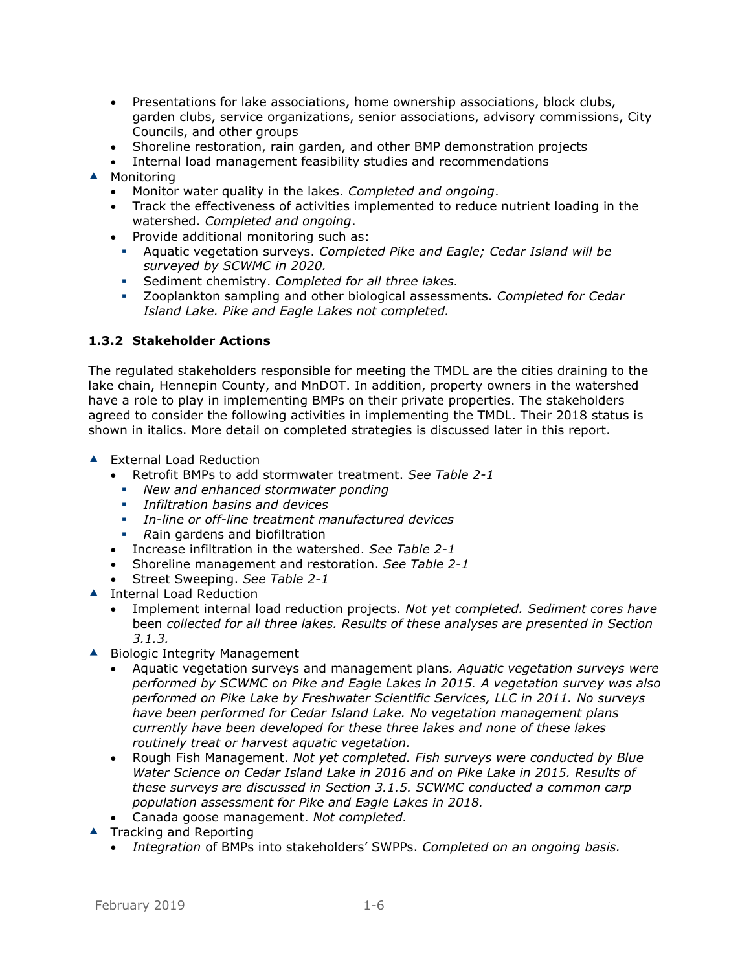- Presentations for lake associations, home ownership associations, block clubs, garden clubs, service organizations, senior associations, advisory commissions, City Councils, and other groups
- Shoreline restoration, rain garden, and other BMP demonstration projects
- Internal load management feasibility studies and recommendations ▲ Monitoring
	- Monitor water quality in the lakes. *Completed and ongoing*.
	- Track the effectiveness of activities implemented to reduce nutrient loading in the watershed. *Completed and ongoing*.
	- Provide additional monitoring such as:
		- Aquatic vegetation surveys. *Completed Pike and Eagle; Cedar Island will be surveyed by SCWMC in 2020.*
		- Sediment chemistry. *Completed for all three lakes.*
		- Zooplankton sampling and other biological assessments. *Completed for Cedar Island Lake. Pike and Eagle Lakes not completed.*

## <span id="page-9-0"></span>**1.3.2 Stakeholder Actions**

The regulated stakeholders responsible for meeting the TMDL are the cities draining to the lake chain, Hennepin County, and MnDOT. In addition, property owners in the watershed have a role to play in implementing BMPs on their private properties. The stakeholders agreed to consider the following activities in implementing the TMDL. Their 2018 status is shown in italics. More detail on completed strategies is discussed later in this report.

- ▲ External Load Reduction
	- Retrofit BMPs to add stormwater treatment. *See Table 2-1*
		- *New and enhanced stormwater ponding*
		- *Infiltration basins and devices*
		- *In-line or off-line treatment manufactured devices*
		- *R*ain gardens and biofiltration
	- Increase infiltration in the watershed. *See Table 2-1*
	- Shoreline management and restoration. *See Table 2-1*
	- Street Sweeping. *See Table 2-1*
- ▲ Internal Load Reduction
	- Implement internal load reduction projects. *Not yet completed. Sediment cores have*  been *collected for all three lakes. Results of these analyses are presented in Section 3.1.3.*
- ▲ Biologic Integrity Management
	- Aquatic vegetation surveys and management plans*. Aquatic vegetation surveys were performed by SCWMC on Pike and Eagle Lakes in 2015. A vegetation survey was also performed on Pike Lake by Freshwater Scientific Services, LLC in 2011. No surveys have been performed for Cedar Island Lake. No vegetation management plans currently have been developed for these three lakes and none of these lakes routinely treat or harvest aquatic vegetation.*
	- Rough Fish Management. *Not yet completed. Fish surveys were conducted by Blue*  Water Science on Cedar Island Lake in 2016 and on Pike Lake in 2015. Results of *these surveys are discussed in Section 3.1.5. SCWMC conducted a common carp population assessment for Pike and Eagle Lakes in 2018.*
	- Canada goose management. *Not completed.*
- $\blacktriangle$  Tracking and Reporting
	- *Integration* of BMPs into stakeholders' SWPPs. *Completed on an ongoing basis.*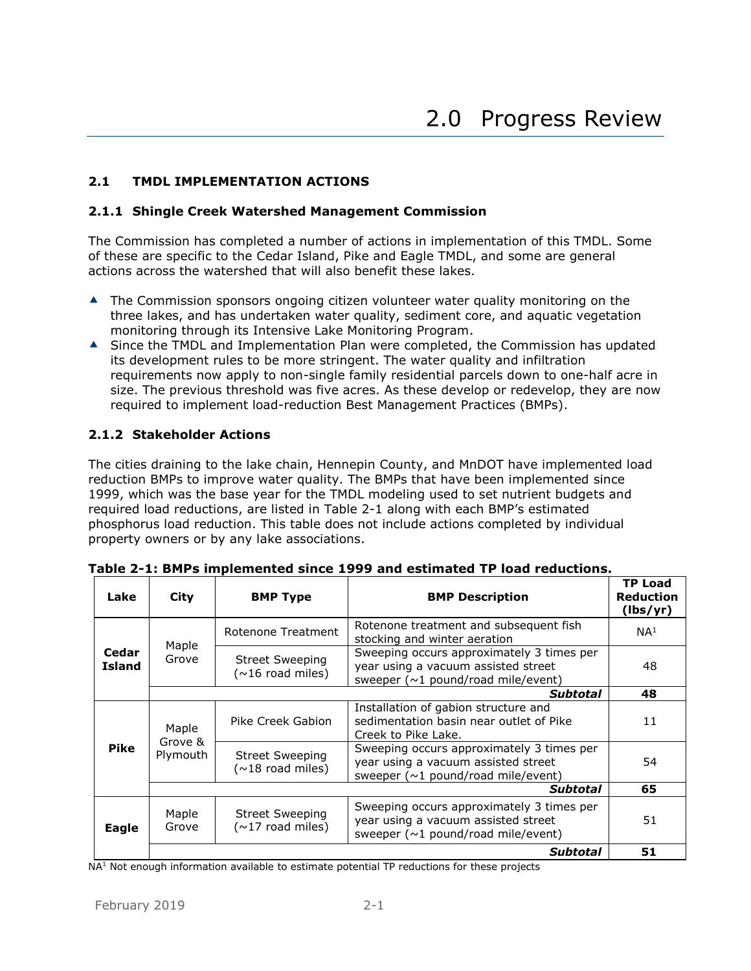#### <span id="page-10-1"></span><span id="page-10-0"></span>**2.1 TMDL IMPLEMENTATION ACTIONS**

#### <span id="page-10-2"></span>**2.1.1 Shingle Creek Watershed Management Commission**

The Commission has completed a number of actions in implementation of this TMDL. Some of these are specific to the Cedar Island, Pike and Eagle TMDL, and some are general actions across the watershed that will also benefit these lakes.

- **▲** The Commission sponsors ongoing citizen volunteer water quality monitoring on the three lakes, and has undertaken water quality, sediment core, and aquatic vegetation monitoring through its Intensive Lake Monitoring Program.
- ▲ Since the TMDL and Implementation Plan were completed, the Commission has updated its development rules to be more stringent. The water quality and infiltration requirements now apply to non-single family residential parcels down to one-half acre in size. The previous threshold was five acres. As these develop or redevelop, they are now required to implement load-reduction Best Management Practices (BMPs).

## <span id="page-10-3"></span>**2.1.2 Stakeholder Actions**

The cities draining to the lake chain, Hennepin County, and MnDOT have implemented load reduction BMPs to improve water quality. The BMPs that have been implemented since 1999, which was the base year for the TMDL modeling used to set nutrient budgets and required load reductions, are listed in Table 2-1 along with each BMP's estimated phosphorus load reduction. This table does not include actions completed by individual property owners or by any lake associations.

| Lake                   | City                         | <b>BMP Type</b>                                          | <b>BMP Description</b>                                                                                                        | <b>TP Load</b><br><b>Reduction</b><br>(lbs/yr)                                                                                |
|------------------------|------------------------------|----------------------------------------------------------|-------------------------------------------------------------------------------------------------------------------------------|-------------------------------------------------------------------------------------------------------------------------------|
|                        |                              | Rotenone Treatment                                       | Rotenone treatment and subsequent fish<br>stocking and winter aeration                                                        | NA <sup>1</sup>                                                                                                               |
| Cedar<br><b>Island</b> | Maple<br>Grove               | <b>Street Sweeping</b><br>$(\sim 16 \text{ road miles})$ | Sweeping occurs approximately 3 times per<br>year using a vacuum assisted street<br>sweeper ( $\sim$ 1 pound/road mile/event) | 48                                                                                                                            |
|                        |                              |                                                          | Subtotal                                                                                                                      | 48                                                                                                                            |
|                        | Maple<br>Grove &<br>Plymouth | Pike Creek Gabion                                        | Installation of gabion structure and<br>sedimentation basin near outlet of Pike<br>Creek to Pike Lake.                        | 11                                                                                                                            |
| <b>Pike</b>            |                              |                                                          | <b>Street Sweeping</b><br>$(\sim 18 \text{ road miles})$                                                                      | Sweeping occurs approximately 3 times per<br>year using a vacuum assisted street<br>sweeper ( $\sim$ 1 pound/road mile/event) |
|                        |                              |                                                          | <b>Subtotal</b>                                                                                                               | 65                                                                                                                            |
| Eagle                  | Maple<br>Grove               | <b>Street Sweeping</b><br>$(\sim 17 \text{ road miles})$ | Sweeping occurs approximately 3 times per<br>year using a vacuum assisted street<br>sweeper ( $\sim$ 1 pound/road mile/event) | 51                                                                                                                            |
|                        |                              |                                                          | Subtotal                                                                                                                      | 51                                                                                                                            |

<span id="page-10-4"></span>**Table 2-1: BMPs implemented since 1999 and estimated TP load reductions.**

 $NA<sup>1</sup>$  Not enough information available to estimate potential TP reductions for these projects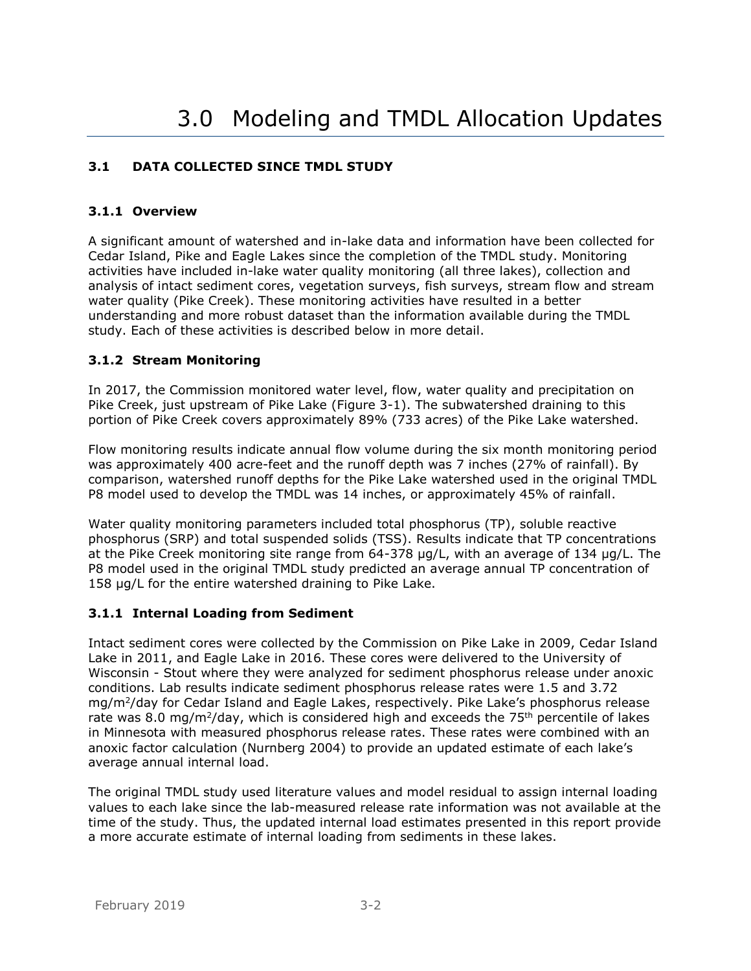# <span id="page-11-1"></span><span id="page-11-0"></span>**3.1 DATA COLLECTED SINCE TMDL STUDY**

## <span id="page-11-2"></span>**3.1.1 Overview**

A significant amount of watershed and in-lake data and information have been collected for Cedar Island, Pike and Eagle Lakes since the completion of the TMDL study. Monitoring activities have included in-lake water quality monitoring (all three lakes), collection and analysis of intact sediment cores, vegetation surveys, fish surveys, stream flow and stream water quality (Pike Creek). These monitoring activities have resulted in a better understanding and more robust dataset than the information available during the TMDL study. Each of these activities is described below in more detail.

## <span id="page-11-3"></span>**3.1.2 Stream Monitoring**

In 2017, the Commission monitored water level, flow, water quality and precipitation on Pike Creek, just upstream of Pike Lake (Figure 3-1). The subwatershed draining to this portion of Pike Creek covers approximately 89% (733 acres) of the Pike Lake watershed.

Flow monitoring results indicate annual flow volume during the six month monitoring period was approximately 400 acre-feet and the runoff depth was 7 inches (27% of rainfall). By comparison, watershed runoff depths for the Pike Lake watershed used in the original TMDL P8 model used to develop the TMDL was 14 inches, or approximately 45% of rainfall.

Water quality monitoring parameters included total phosphorus (TP), soluble reactive phosphorus (SRP) and total suspended solids (TSS). Results indicate that TP concentrations at the Pike Creek monitoring site range from 64-378 µg/L, with an average of 134 µg/L. The P8 model used in the original TMDL study predicted an average annual TP concentration of 158 µg/L for the entire watershed draining to Pike Lake.

## <span id="page-11-4"></span>**3.1.1 Internal Loading from Sediment**

Intact sediment cores were collected by the Commission on Pike Lake in 2009, Cedar Island Lake in 2011, and Eagle Lake in 2016. These cores were delivered to the University of Wisconsin - Stout where they were analyzed for sediment phosphorus release under anoxic conditions. Lab results indicate sediment phosphorus release rates were 1.5 and 3.72 mg/m<sup>2</sup> /day for Cedar Island and Eagle Lakes, respectively. Pike Lake's phosphorus release rate was 8.0 mg/m<sup>2</sup>/day, which is considered high and exceeds the 75<sup>th</sup> percentile of lakes in Minnesota with measured phosphorus release rates. These rates were combined with an anoxic factor calculation (Nurnberg 2004) to provide an updated estimate of each lake's average annual internal load.

The original TMDL study used literature values and model residual to assign internal loading values to each lake since the lab-measured release rate information was not available at the time of the study. Thus, the updated internal load estimates presented in this report provide a more accurate estimate of internal loading from sediments in these lakes.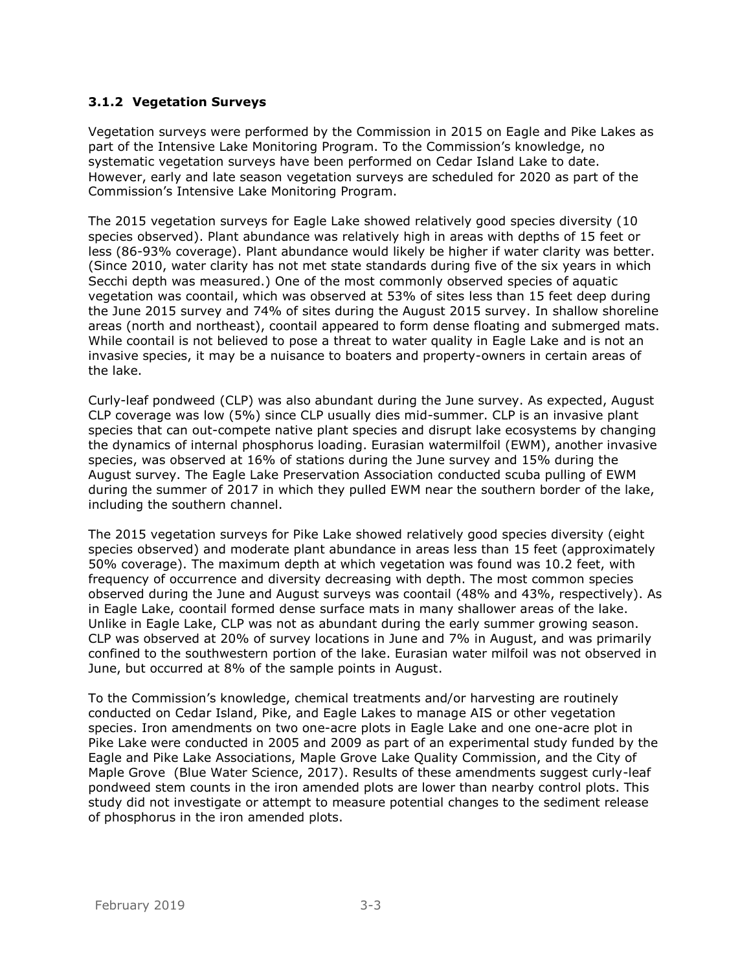## <span id="page-12-0"></span>**3.1.2 Vegetation Surveys**

Vegetation surveys were performed by the Commission in 2015 on Eagle and Pike Lakes as part of the Intensive Lake Monitoring Program. To the Commission's knowledge, no systematic vegetation surveys have been performed on Cedar Island Lake to date. However, early and late season vegetation surveys are scheduled for 2020 as part of the Commission's Intensive Lake Monitoring Program.

The 2015 vegetation surveys for Eagle Lake showed relatively good species diversity (10 species observed). Plant abundance was relatively high in areas with depths of 15 feet or less (86-93% coverage). Plant abundance would likely be higher if water clarity was better. (Since 2010, water clarity has not met state standards during five of the six years in which Secchi depth was measured.) One of the most commonly observed species of aquatic vegetation was coontail, which was observed at 53% of sites less than 15 feet deep during the June 2015 survey and 74% of sites during the August 2015 survey. In shallow shoreline areas (north and northeast), coontail appeared to form dense floating and submerged mats. While coontail is not believed to pose a threat to water quality in Eagle Lake and is not an invasive species, it may be a nuisance to boaters and property-owners in certain areas of the lake.

Curly-leaf pondweed (CLP) was also abundant during the June survey. As expected, August CLP coverage was low (5%) since CLP usually dies mid-summer. CLP is an invasive plant species that can out-compete native plant species and disrupt lake ecosystems by changing the dynamics of internal phosphorus loading. Eurasian watermilfoil (EWM), another invasive species, was observed at 16% of stations during the June survey and 15% during the August survey. The Eagle Lake Preservation Association conducted scuba pulling of EWM during the summer of 2017 in which they pulled EWM near the southern border of the lake, including the southern channel.

The 2015 vegetation surveys for Pike Lake showed relatively good species diversity (eight species observed) and moderate plant abundance in areas less than 15 feet (approximately 50% coverage). The maximum depth at which vegetation was found was 10.2 feet, with frequency of occurrence and diversity decreasing with depth. The most common species observed during the June and August surveys was coontail (48% and 43%, respectively). As in Eagle Lake, coontail formed dense surface mats in many shallower areas of the lake. Unlike in Eagle Lake, CLP was not as abundant during the early summer growing season. CLP was observed at 20% of survey locations in June and 7% in August, and was primarily confined to the southwestern portion of the lake. Eurasian water milfoil was not observed in June, but occurred at 8% of the sample points in August.

To the Commission's knowledge, chemical treatments and/or harvesting are routinely conducted on Cedar Island, Pike, and Eagle Lakes to manage AIS or other vegetation species. Iron amendments on two one-acre plots in Eagle Lake and one one-acre plot in Pike Lake were conducted in 2005 and 2009 as part of an experimental study funded by the Eagle and Pike Lake Associations, Maple Grove Lake Quality Commission, and the City of Maple Grove (Blue Water Science, 2017). Results of these amendments suggest curly-leaf pondweed stem counts in the iron amended plots are lower than nearby control plots. This study did not investigate or attempt to measure potential changes to the sediment release of phosphorus in the iron amended plots.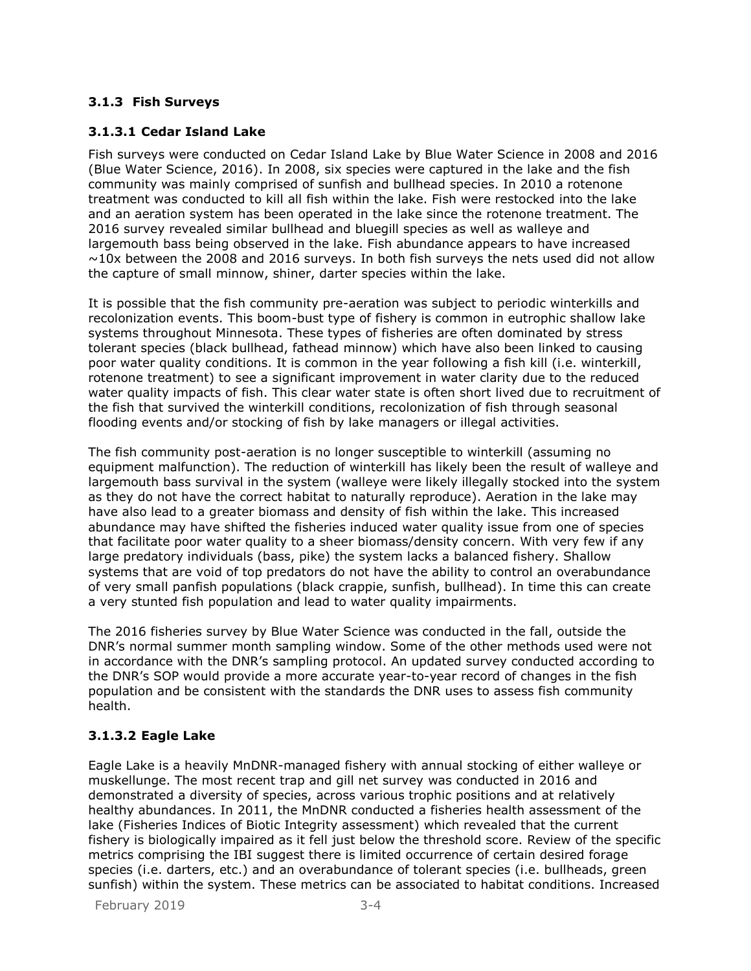# <span id="page-13-0"></span>**3.1.3 Fish Surveys**

## **3.1.3.1 Cedar Island Lake**

Fish surveys were conducted on Cedar Island Lake by Blue Water Science in 2008 and 2016 (Blue Water Science, 2016). In 2008, six species were captured in the lake and the fish community was mainly comprised of sunfish and bullhead species. In 2010 a rotenone treatment was conducted to kill all fish within the lake. Fish were restocked into the lake and an aeration system has been operated in the lake since the rotenone treatment. The 2016 survey revealed similar bullhead and bluegill species as well as walleye and largemouth bass being observed in the lake. Fish abundance appears to have increased  $\sim$ 10x between the 2008 and 2016 surveys. In both fish surveys the nets used did not allow the capture of small minnow, shiner, darter species within the lake.

It is possible that the fish community pre-aeration was subject to periodic winterkills and recolonization events. This boom-bust type of fishery is common in eutrophic shallow lake systems throughout Minnesota. These types of fisheries are often dominated by stress tolerant species (black bullhead, fathead minnow) which have also been linked to causing poor water quality conditions. It is common in the year following a fish kill (i.e. winterkill, rotenone treatment) to see a significant improvement in water clarity due to the reduced water quality impacts of fish. This clear water state is often short lived due to recruitment of the fish that survived the winterkill conditions, recolonization of fish through seasonal flooding events and/or stocking of fish by lake managers or illegal activities.

The fish community post-aeration is no longer susceptible to winterkill (assuming no equipment malfunction). The reduction of winterkill has likely been the result of walleye and largemouth bass survival in the system (walleye were likely illegally stocked into the system as they do not have the correct habitat to naturally reproduce). Aeration in the lake may have also lead to a greater biomass and density of fish within the lake. This increased abundance may have shifted the fisheries induced water quality issue from one of species that facilitate poor water quality to a sheer biomass/density concern. With very few if any large predatory individuals (bass, pike) the system lacks a balanced fishery. Shallow systems that are void of top predators do not have the ability to control an overabundance of very small panfish populations (black crappie, sunfish, bullhead). In time this can create a very stunted fish population and lead to water quality impairments.

The 2016 fisheries survey by Blue Water Science was conducted in the fall, outside the DNR's normal summer month sampling window. Some of the other methods used were not in accordance with the DNR's sampling protocol. An updated survey conducted according to the DNR's SOP would provide a more accurate year-to-year record of changes in the fish population and be consistent with the standards the DNR uses to assess fish community health.

#### **3.1.3.2 Eagle Lake**

Eagle Lake is a heavily MnDNR-managed fishery with annual stocking of either walleye or muskellunge. The most recent trap and gill net survey was conducted in 2016 and demonstrated a diversity of species, across various trophic positions and at relatively healthy abundances. In 2011, the MnDNR conducted a fisheries health assessment of the lake (Fisheries Indices of Biotic Integrity assessment) which revealed that the current fishery is biologically impaired as it fell just below the threshold score. Review of the specific metrics comprising the IBI suggest there is limited occurrence of certain desired forage species (i.e. darters, etc.) and an overabundance of tolerant species (i.e. bullheads, green sunfish) within the system. These metrics can be associated to habitat conditions. Increased

February 2019 3-4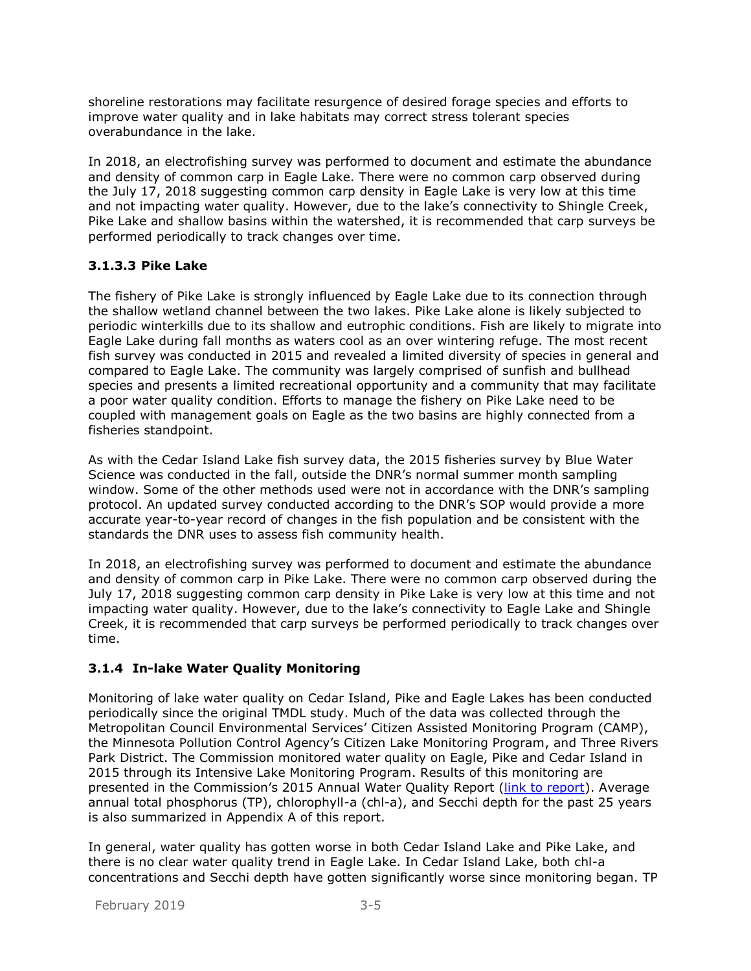shoreline restorations may facilitate resurgence of desired forage species and efforts to improve water quality and in lake habitats may correct stress tolerant species overabundance in the lake.

In 2018, an electrofishing survey was performed to document and estimate the abundance and density of common carp in Eagle Lake. There were no common carp observed during the July 17, 2018 suggesting common carp density in Eagle Lake is very low at this time and not impacting water quality. However, due to the lake's connectivity to Shingle Creek, Pike Lake and shallow basins within the watershed, it is recommended that carp surveys be performed periodically to track changes over time.

## **3.1.3.3 Pike Lake**

The fishery of Pike Lake is strongly influenced by Eagle Lake due to its connection through the shallow wetland channel between the two lakes. Pike Lake alone is likely subjected to periodic winterkills due to its shallow and eutrophic conditions. Fish are likely to migrate into Eagle Lake during fall months as waters cool as an over wintering refuge. The most recent fish survey was conducted in 2015 and revealed a limited diversity of species in general and compared to Eagle Lake. The community was largely comprised of sunfish and bullhead species and presents a limited recreational opportunity and a community that may facilitate a poor water quality condition. Efforts to manage the fishery on Pike Lake need to be coupled with management goals on Eagle as the two basins are highly connected from a fisheries standpoint.

As with the Cedar Island Lake fish survey data, the 2015 fisheries survey by Blue Water Science was conducted in the fall, outside the DNR's normal summer month sampling window. Some of the other methods used were not in accordance with the DNR's sampling protocol. An updated survey conducted according to the DNR's SOP would provide a more accurate year-to-year record of changes in the fish population and be consistent with the standards the DNR uses to assess fish community health.

In 2018, an electrofishing survey was performed to document and estimate the abundance and density of common carp in Pike Lake. There were no common carp observed during the July 17, 2018 suggesting common carp density in Pike Lake is very low at this time and not impacting water quality. However, due to the lake's connectivity to Eagle Lake and Shingle Creek, it is recommended that carp surveys be performed periodically to track changes over time.

## <span id="page-14-0"></span>**3.1.4 In-lake Water Quality Monitoring**

Monitoring of lake water quality on Cedar Island, Pike and Eagle Lakes has been conducted periodically since the original TMDL study. Much of the data was collected through the Metropolitan Council Environmental Services' Citizen Assisted Monitoring Program (CAMP), the Minnesota Pollution Control Agency's Citizen Lake Monitoring Program, and Three Rivers Park District. The Commission monitored water quality on Eagle, Pike and Cedar Island in 2015 through its Intensive Lake Monitoring Program. Results of this monitoring are presented in the Commission's 2015 Annual Water Quality Report [\(link to report\)](http://www.shinglecreek.org/water-quality.html). Average annual total phosphorus (TP), chlorophyll-a (chl-a), and Secchi depth for the past 25 years is also summarized in Appendix A of this report.

In general, water quality has gotten worse in both Cedar Island Lake and Pike Lake, and there is no clear water quality trend in Eagle Lake. In Cedar Island Lake, both chl-a concentrations and Secchi depth have gotten significantly worse since monitoring began. TP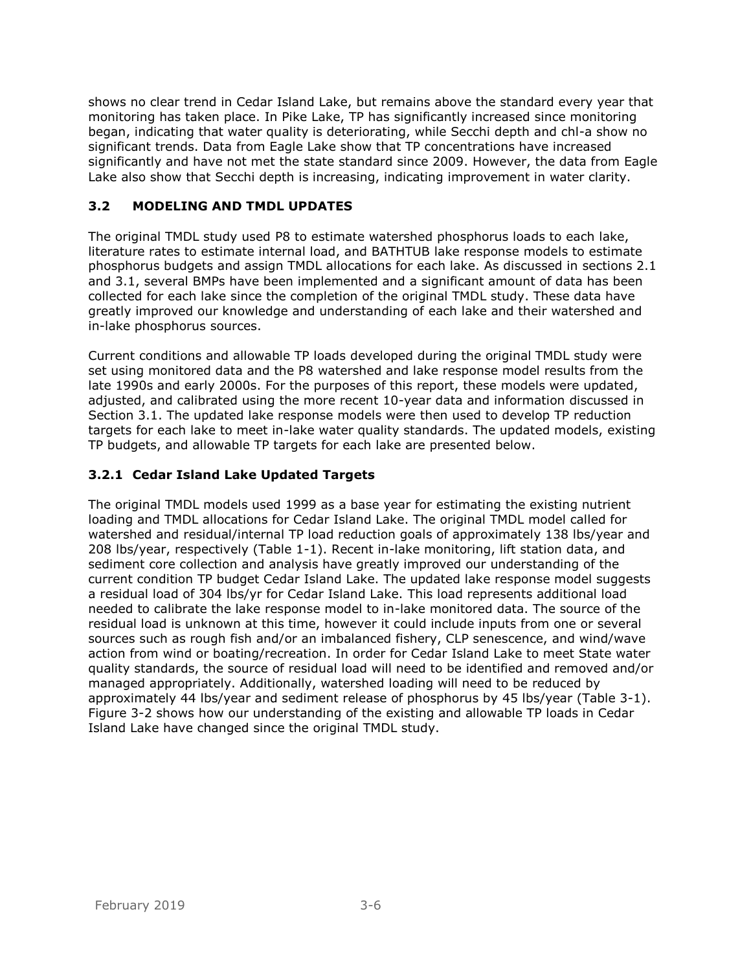shows no clear trend in Cedar Island Lake, but remains above the standard every year that monitoring has taken place. In Pike Lake, TP has significantly increased since monitoring began, indicating that water quality is deteriorating, while Secchi depth and chl-a show no significant trends. Data from Eagle Lake show that TP concentrations have increased significantly and have not met the state standard since 2009. However, the data from Eagle Lake also show that Secchi depth is increasing, indicating improvement in water clarity.

## <span id="page-15-0"></span>**3.2 MODELING AND TMDL UPDATES**

The original TMDL study used P8 to estimate watershed phosphorus loads to each lake, literature rates to estimate internal load, and BATHTUB lake response models to estimate phosphorus budgets and assign TMDL allocations for each lake. As discussed in sections 2.1 and 3.1, several BMPs have been implemented and a significant amount of data has been collected for each lake since the completion of the original TMDL study. These data have greatly improved our knowledge and understanding of each lake and their watershed and in-lake phosphorus sources.

Current conditions and allowable TP loads developed during the original TMDL study were set using monitored data and the P8 watershed and lake response model results from the late 1990s and early 2000s. For the purposes of this report, these models were updated, adjusted, and calibrated using the more recent 10-year data and information discussed in Section 3.1. The updated lake response models were then used to develop TP reduction targets for each lake to meet in-lake water quality standards. The updated models, existing TP budgets, and allowable TP targets for each lake are presented below.

#### <span id="page-15-1"></span>**3.2.1 Cedar Island Lake Updated Targets**

The original TMDL models used 1999 as a base year for estimating the existing nutrient loading and TMDL allocations for Cedar Island Lake. The original TMDL model called for watershed and residual/internal TP load reduction goals of approximately 138 lbs/year and 208 lbs/year, respectively (Table 1-1). Recent in-lake monitoring, lift station data, and sediment core collection and analysis have greatly improved our understanding of the current condition TP budget Cedar Island Lake. The updated lake response model suggests a residual load of 304 lbs/yr for Cedar Island Lake. This load represents additional load needed to calibrate the lake response model to in-lake monitored data. The source of the residual load is unknown at this time, however it could include inputs from one or several sources such as rough fish and/or an imbalanced fishery, CLP senescence, and wind/wave action from wind or boating/recreation. In order for Cedar Island Lake to meet State water quality standards, the source of residual load will need to be identified and removed and/or managed appropriately. Additionally, watershed loading will need to be reduced by approximately 44 lbs/year and sediment release of phosphorus by 45 lbs/year (Table 3-1). Figure 3-2 shows how our understanding of the existing and allowable TP loads in Cedar Island Lake have changed since the original TMDL study.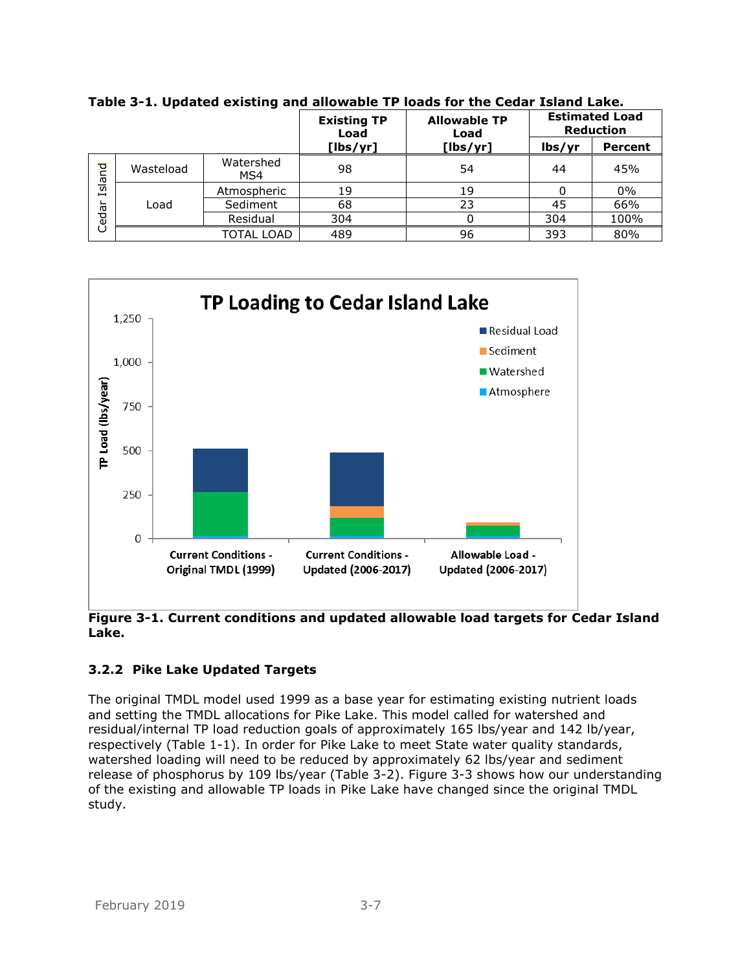|        |           |                  | <b>Existing TP</b><br>Load | <b>Allowable TP</b><br>Load | <b>Estimated Load</b><br><b>Reduction</b> |                |
|--------|-----------|------------------|----------------------------|-----------------------------|-------------------------------------------|----------------|
|        |           |                  | $[$ lbs/yr]                | $[$ lbs/yr]                 | lbs/yr                                    | <b>Percent</b> |
| Island | Wasteload | Watershed<br>MS4 | 98                         | 54                          | 44                                        | 45%            |
| Cedar  | Load      | Atmospheric      | 19                         | 19                          |                                           | $0\%$          |
|        |           | Sediment         | 68                         | 23                          | 45                                        | 66%            |
|        |           | Residual         | 304                        |                             | 304                                       | 100%           |
|        |           | TOTAL LOAD       | 489                        | 96                          | 393                                       | 80%            |

<span id="page-16-1"></span>**Table 3-1. Updated existing and allowable TP loads for the Cedar Island Lake.**

<span id="page-16-2"></span>

**Figure 3-1. Current conditions and updated allowable load targets for Cedar Island Lake.**

# <span id="page-16-0"></span>**3.2.2 Pike Lake Updated Targets**

The original TMDL model used 1999 as a base year for estimating existing nutrient loads and setting the TMDL allocations for Pike Lake. This model called for watershed and residual/internal TP load reduction goals of approximately 165 lbs/year and 142 lb/year, respectively (Table 1-1). In order for Pike Lake to meet State water quality standards, watershed loading will need to be reduced by approximately 62 lbs/year and sediment release of phosphorus by 109 lbs/year (Table 3-2). Figure 3-3 shows how our understanding of the existing and allowable TP loads in Pike Lake have changed since the original TMDL study.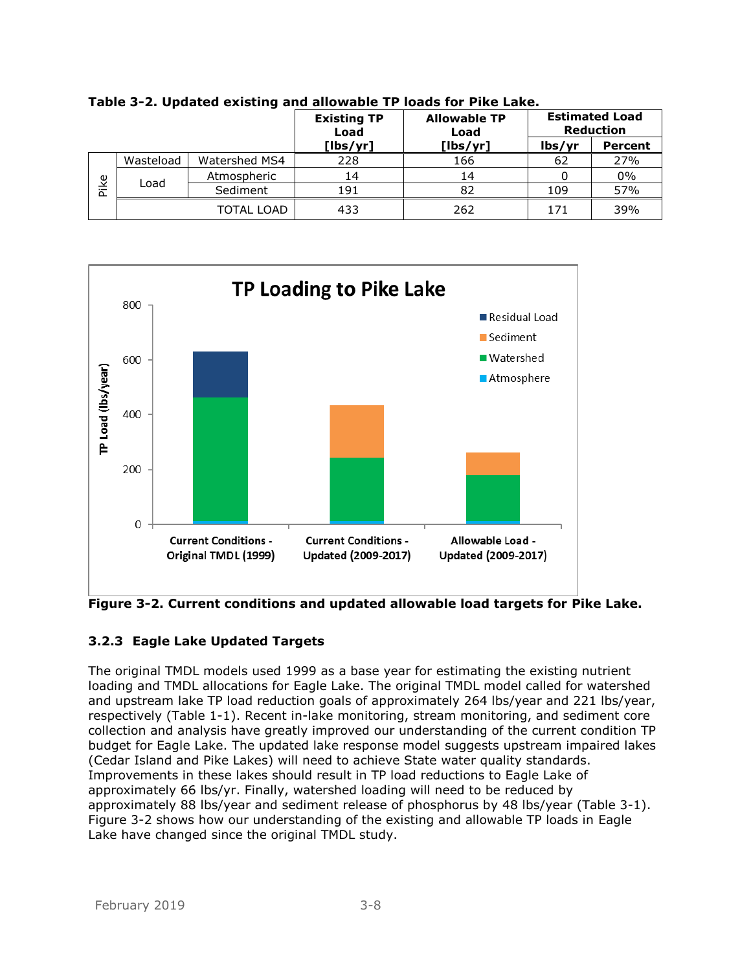|          |           |               | <b>Existing TP</b><br>Load | <b>Allowable TP</b><br>Load | <b>Estimated Load</b><br><b>Reduction</b> |                |
|----------|-----------|---------------|----------------------------|-----------------------------|-------------------------------------------|----------------|
|          |           |               | [lbs/yr]                   | [lbs/yr]                    | lbs/yr                                    | <b>Percent</b> |
|          | Wasteload | Watershed MS4 | 228                        | 166                         | 62                                        | 27%            |
| ike<br>௨ | Load      | Atmospheric   | 14                         | 14                          |                                           | 0%             |
|          |           | Sediment      | 191                        | 82                          | 109                                       | 57%            |
|          |           | TOTAL LOAD    | 433                        | 262                         | 171                                       | 39%            |

<span id="page-17-1"></span>**Table 3-2. Updated existing and allowable TP loads for Pike Lake.**

<span id="page-17-2"></span>

**Figure 3-2. Current conditions and updated allowable load targets for Pike Lake.**

# <span id="page-17-0"></span>**3.2.3 Eagle Lake Updated Targets**

The original TMDL models used 1999 as a base year for estimating the existing nutrient loading and TMDL allocations for Eagle Lake. The original TMDL model called for watershed and upstream lake TP load reduction goals of approximately 264 lbs/year and 221 lbs/year, respectively (Table 1-1). Recent in-lake monitoring, stream monitoring, and sediment core collection and analysis have greatly improved our understanding of the current condition TP budget for Eagle Lake. The updated lake response model suggests upstream impaired lakes (Cedar Island and Pike Lakes) will need to achieve State water quality standards. Improvements in these lakes should result in TP load reductions to Eagle Lake of approximately 66 lbs/yr. Finally, watershed loading will need to be reduced by approximately 88 lbs/year and sediment release of phosphorus by 48 lbs/year (Table 3-1). Figure 3-2 shows how our understanding of the existing and allowable TP loads in Eagle Lake have changed since the original TMDL study.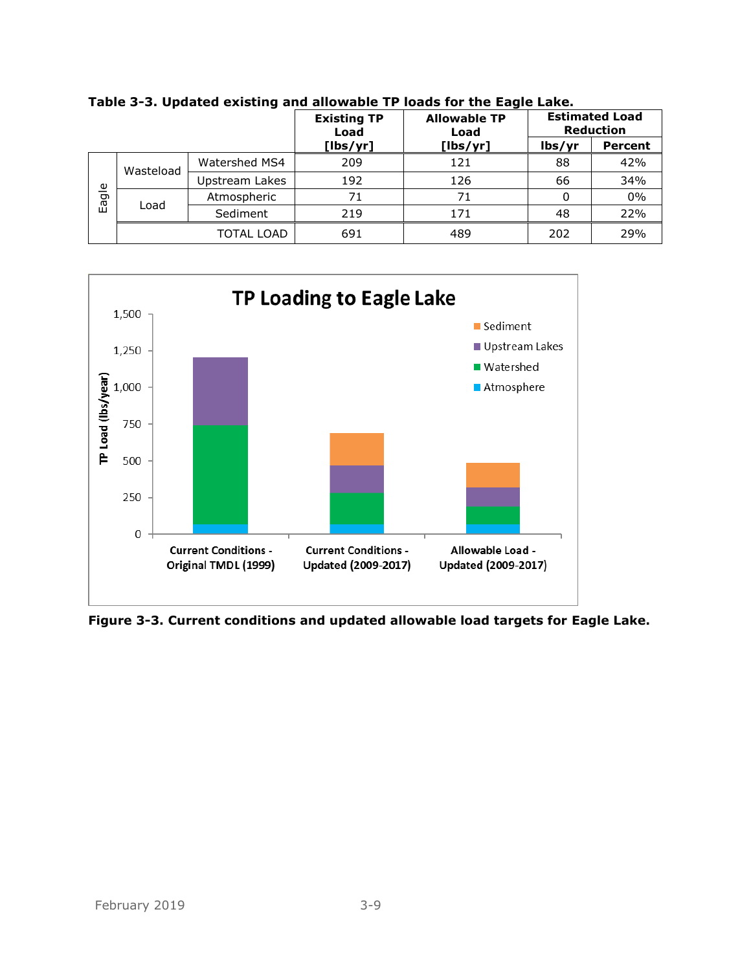|       |           | <b>Existing TP</b><br>Load | <b>Allowable TP</b><br>Load | <b>Estimated Load</b><br><b>Reduction</b> |        |                |
|-------|-----------|----------------------------|-----------------------------|-------------------------------------------|--------|----------------|
|       |           |                            | [lbs/yr]                    | [lbs/yr]                                  | lbs/yr | <b>Percent</b> |
| Eagle | Wasteload | Watershed MS4              | 209                         | 121                                       | 88     | 42%            |
|       |           | Upstream Lakes             | 192                         | 126                                       | 66     | 34%            |
|       | Load      | Atmospheric                | 71                          | 71                                        |        | $0\%$          |
|       |           | Sediment                   | 219                         | 171                                       | 48     | 22%            |
|       |           | TOTAL LOAD                 | 691                         | 489                                       | 202    | 29%            |

<span id="page-18-0"></span>**Table 3-3. Updated existing and allowable TP loads for the Eagle Lake.**



<span id="page-18-1"></span>**Figure 3-3. Current conditions and updated allowable load targets for Eagle Lake.**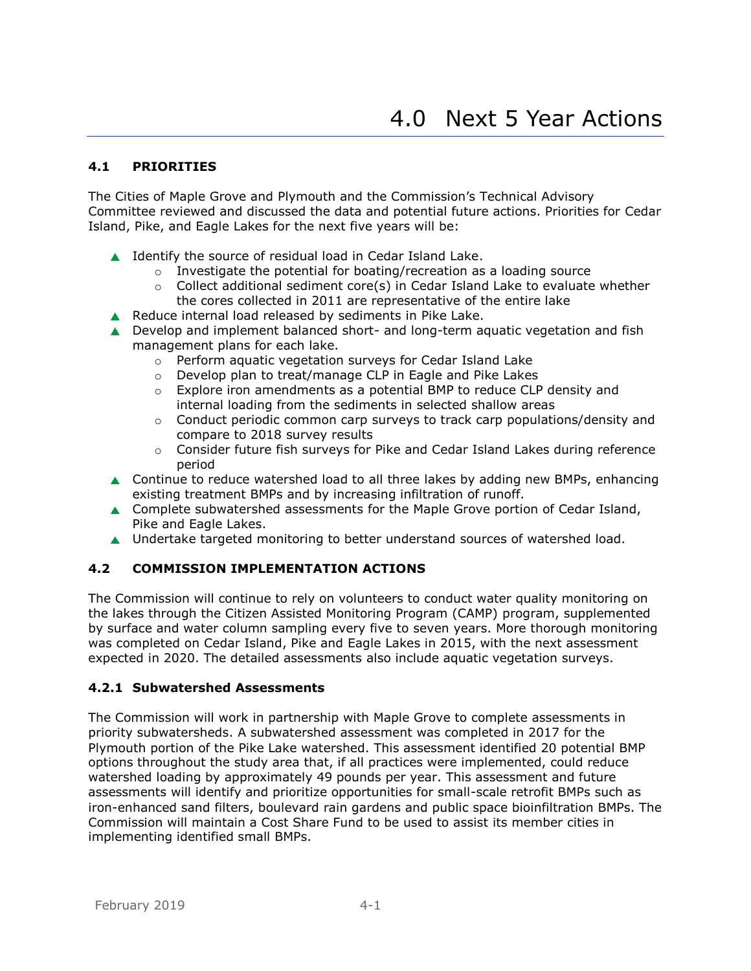#### <span id="page-19-1"></span><span id="page-19-0"></span>**4.1 PRIORITIES**

The Cities of Maple Grove and Plymouth and the Commission's Technical Advisory Committee reviewed and discussed the data and potential future actions. Priorities for Cedar Island, Pike, and Eagle Lakes for the next five years will be:

- ▲ Identify the source of residual load in Cedar Island Lake.
	- o Investigate the potential for boating/recreation as a loading source
	- $\circ$  Collect additional sediment core(s) in Cedar Island Lake to evaluate whether the cores collected in 2011 are representative of the entire lake
- Reduce internal load released by sediments in Pike Lake.
- **■** Develop and implement balanced short- and long-term aquatic vegetation and fish management plans for each lake.
	- o Perform aquatic vegetation surveys for Cedar Island Lake
	- o Develop plan to treat/manage CLP in Eagle and Pike Lakes
	- $\circ$  Explore iron amendments as a potential BMP to reduce CLP density and internal loading from the sediments in selected shallow areas
	- $\circ$  Conduct periodic common carp surveys to track carp populations/density and compare to 2018 survey results
	- $\circ$  Consider future fish surveys for Pike and Cedar Island Lakes during reference period
- ▲ Continue to reduce watershed load to all three lakes by adding new BMPs, enhancing existing treatment BMPs and by increasing infiltration of runoff.
- ▲ Complete subwatershed assessments for the Maple Grove portion of Cedar Island, Pike and Eagle Lakes.
- ▲ Undertake targeted monitoring to better understand sources of watershed load.

## <span id="page-19-2"></span>**4.2 COMMISSION IMPLEMENTATION ACTIONS**

The Commission will continue to rely on volunteers to conduct water quality monitoring on the lakes through the Citizen Assisted Monitoring Program (CAMP) program, supplemented by surface and water column sampling every five to seven years. More thorough monitoring was completed on Cedar Island, Pike and Eagle Lakes in 2015, with the next assessment expected in 2020. The detailed assessments also include aquatic vegetation surveys.

#### <span id="page-19-3"></span>**4.2.1 Subwatershed Assessments**

The Commission will work in partnership with Maple Grove to complete assessments in priority subwatersheds. A subwatershed assessment was completed in 2017 for the Plymouth portion of the Pike Lake watershed. This assessment identified 20 potential BMP options throughout the study area that, if all practices were implemented, could reduce watershed loading by approximately 49 pounds per year. This assessment and future assessments will identify and prioritize opportunities for small-scale retrofit BMPs such as iron-enhanced sand filters, boulevard rain gardens and public space bioinfiltration BMPs. The Commission will maintain a Cost Share Fund to be used to assist its member cities in implementing identified small BMPs.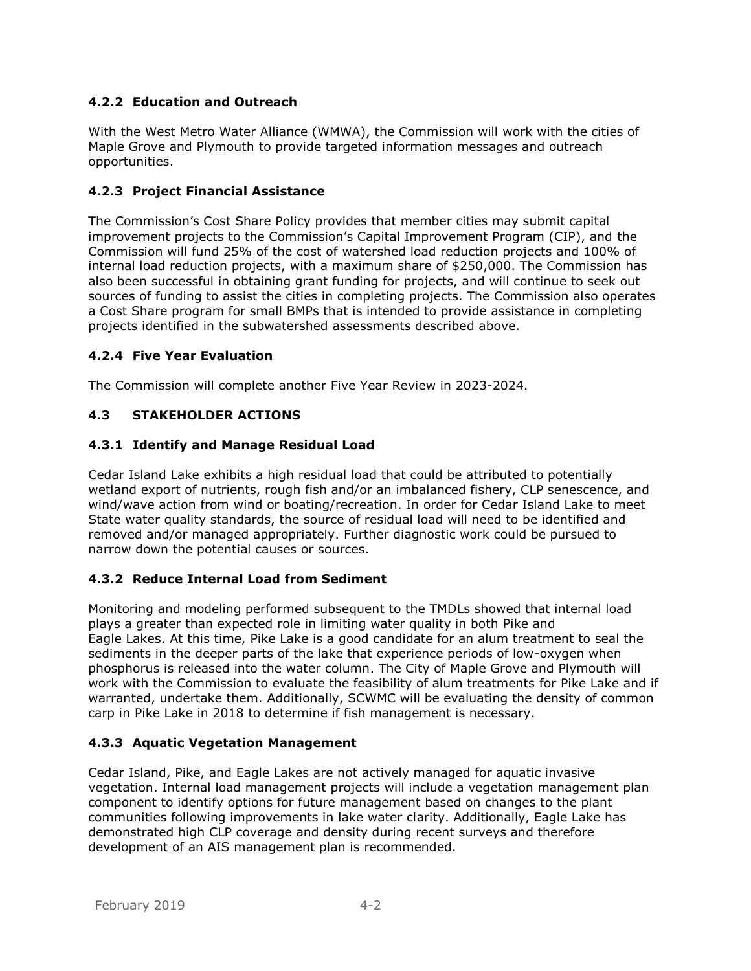# <span id="page-20-0"></span>**4.2.2 Education and Outreach**

With the West Metro Water Alliance (WMWA), the Commission will work with the cities of Maple Grove and Plymouth to provide targeted information messages and outreach opportunities.

## <span id="page-20-1"></span>**4.2.3 Project Financial Assistance**

The Commission's Cost Share Policy provides that member cities may submit capital improvement projects to the Commission's Capital Improvement Program (CIP), and the Commission will fund 25% of the cost of watershed load reduction projects and 100% of internal load reduction projects, with a maximum share of \$250,000. The Commission has also been successful in obtaining grant funding for projects, and will continue to seek out sources of funding to assist the cities in completing projects. The Commission also operates a Cost Share program for small BMPs that is intended to provide assistance in completing projects identified in the subwatershed assessments described above.

#### <span id="page-20-2"></span>**4.2.4 Five Year Evaluation**

The Commission will complete another Five Year Review in 2023-2024.

## <span id="page-20-3"></span>**4.3 STAKEHOLDER ACTIONS**

#### <span id="page-20-4"></span>**4.3.1 Identify and Manage Residual Load**

Cedar Island Lake exhibits a high residual load that could be attributed to potentially wetland export of nutrients, rough fish and/or an imbalanced fishery, CLP senescence, and wind/wave action from wind or boating/recreation. In order for Cedar Island Lake to meet State water quality standards, the source of residual load will need to be identified and removed and/or managed appropriately. Further diagnostic work could be pursued to narrow down the potential causes or sources.

## <span id="page-20-5"></span>**4.3.2 Reduce Internal Load from Sediment**

Monitoring and modeling performed subsequent to the TMDLs showed that internal load plays a greater than expected role in limiting water quality in both Pike and Eagle Lakes. At this time, Pike Lake is a good candidate for an alum treatment to seal the sediments in the deeper parts of the lake that experience periods of low-oxygen when phosphorus is released into the water column. The City of Maple Grove and Plymouth will work with the Commission to evaluate the feasibility of alum treatments for Pike Lake and if warranted, undertake them. Additionally, SCWMC will be evaluating the density of common carp in Pike Lake in 2018 to determine if fish management is necessary.

## <span id="page-20-6"></span>**4.3.3 Aquatic Vegetation Management**

Cedar Island, Pike, and Eagle Lakes are not actively managed for aquatic invasive vegetation. Internal load management projects will include a vegetation management plan component to identify options for future management based on changes to the plant communities following improvements in lake water clarity. Additionally, Eagle Lake has demonstrated high CLP coverage and density during recent surveys and therefore development of an AIS management plan is recommended.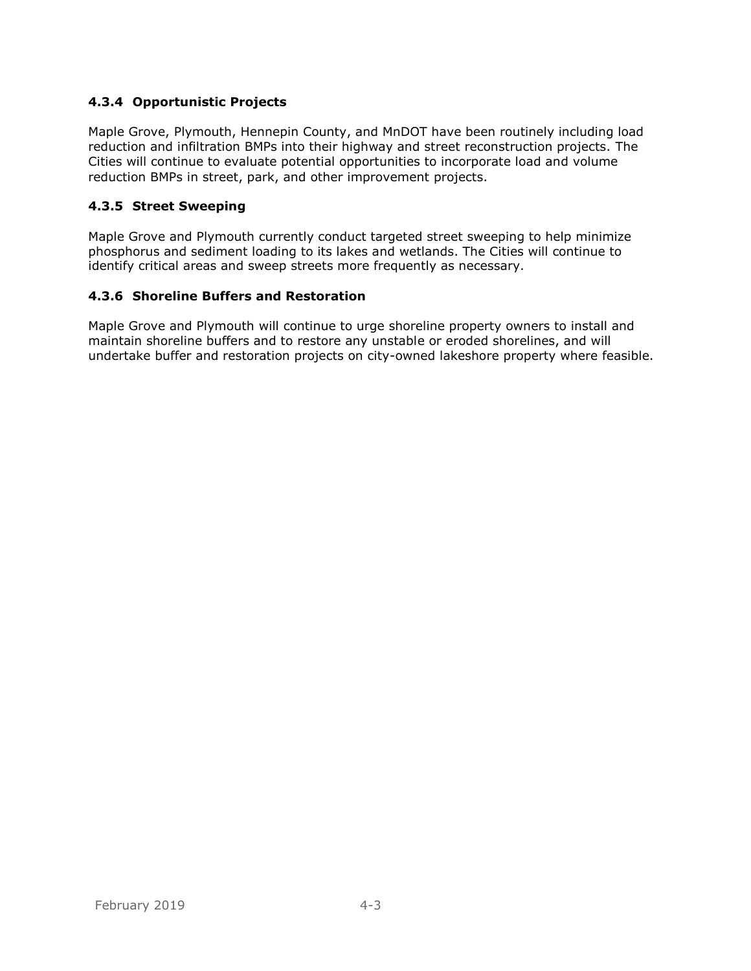## <span id="page-21-0"></span>**4.3.4 Opportunistic Projects**

Maple Grove, Plymouth, Hennepin County, and MnDOT have been routinely including load reduction and infiltration BMPs into their highway and street reconstruction projects. The Cities will continue to evaluate potential opportunities to incorporate load and volume reduction BMPs in street, park, and other improvement projects.

#### <span id="page-21-1"></span>**4.3.5 Street Sweeping**

Maple Grove and Plymouth currently conduct targeted street sweeping to help minimize phosphorus and sediment loading to its lakes and wetlands. The Cities will continue to identify critical areas and sweep streets more frequently as necessary.

#### <span id="page-21-2"></span>**4.3.6 Shoreline Buffers and Restoration**

Maple Grove and Plymouth will continue to urge shoreline property owners to install and maintain shoreline buffers and to restore any unstable or eroded shorelines, and will undertake buffer and restoration projects on city-owned lakeshore property where feasible.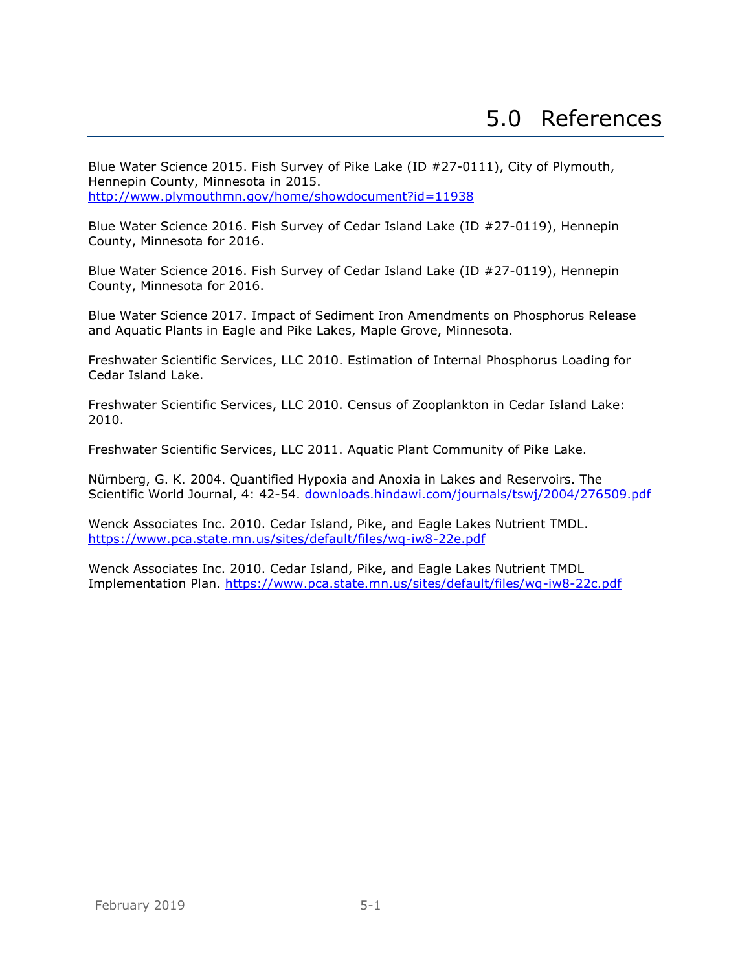<span id="page-22-0"></span>Blue Water Science 2015. Fish Survey of Pike Lake (ID #27-0111), City of Plymouth, Hennepin County, Minnesota in 2015. <http://www.plymouthmn.gov/home/showdocument?id=11938>

Blue Water Science 2016. Fish Survey of Cedar Island Lake (ID #27-0119), Hennepin County, Minnesota for 2016.

Blue Water Science 2016. Fish Survey of Cedar Island Lake (ID #27-0119), Hennepin County, Minnesota for 2016.

Blue Water Science 2017. Impact of Sediment Iron Amendments on Phosphorus Release and Aquatic Plants in Eagle and Pike Lakes, Maple Grove, Minnesota.

Freshwater Scientific Services, LLC 2010. Estimation of Internal Phosphorus Loading for Cedar Island Lake.

Freshwater Scientific Services, LLC 2010. Census of Zooplankton in Cedar Island Lake: 2010.

Freshwater Scientific Services, LLC 2011. Aquatic Plant Community of Pike Lake.

Nürnberg, G. K. 2004. Quantified Hypoxia and Anoxia in Lakes and Reservoirs. The Scientific World Journal, 4: 42-54. [downloads.hindawi.com/journals/tswj/2004/276509.pdf](http://downloads.hindawi.com/journals/tswj/2004/276509.pdf) 

Wenck Associates Inc. 2010. Cedar Island, Pike, and Eagle Lakes Nutrient TMDL. <https://www.pca.state.mn.us/sites/default/files/wq-iw8-22e.pdf>

Wenck Associates Inc. 2010. Cedar Island, Pike, and Eagle Lakes Nutrient TMDL Implementation Plan. <https://www.pca.state.mn.us/sites/default/files/wq-iw8-22c.pdf>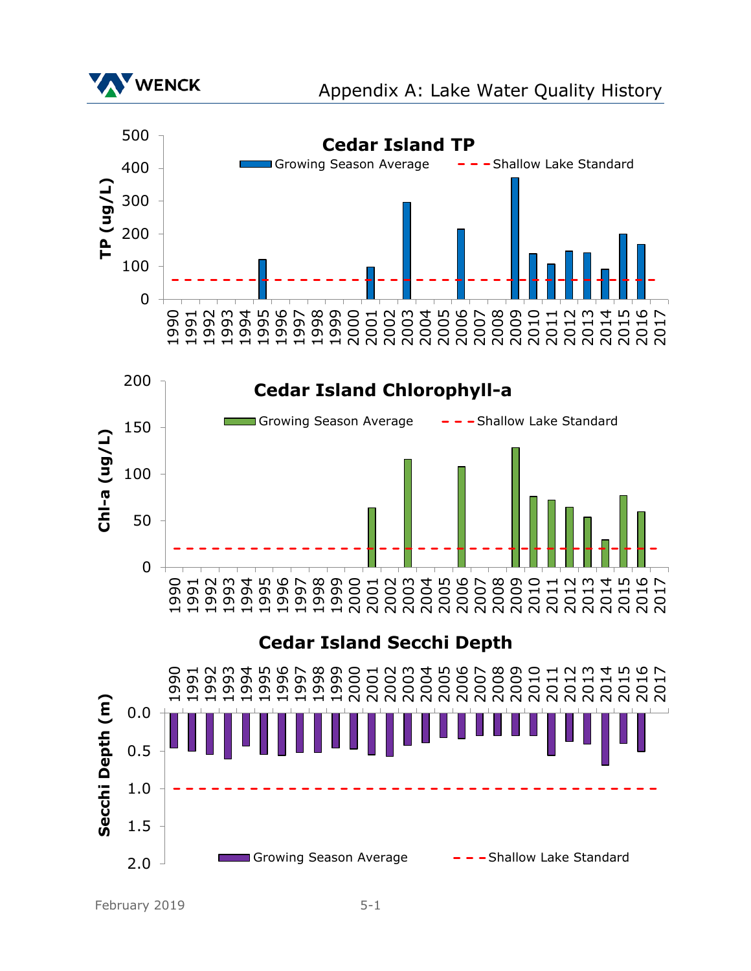

February 2019 5-1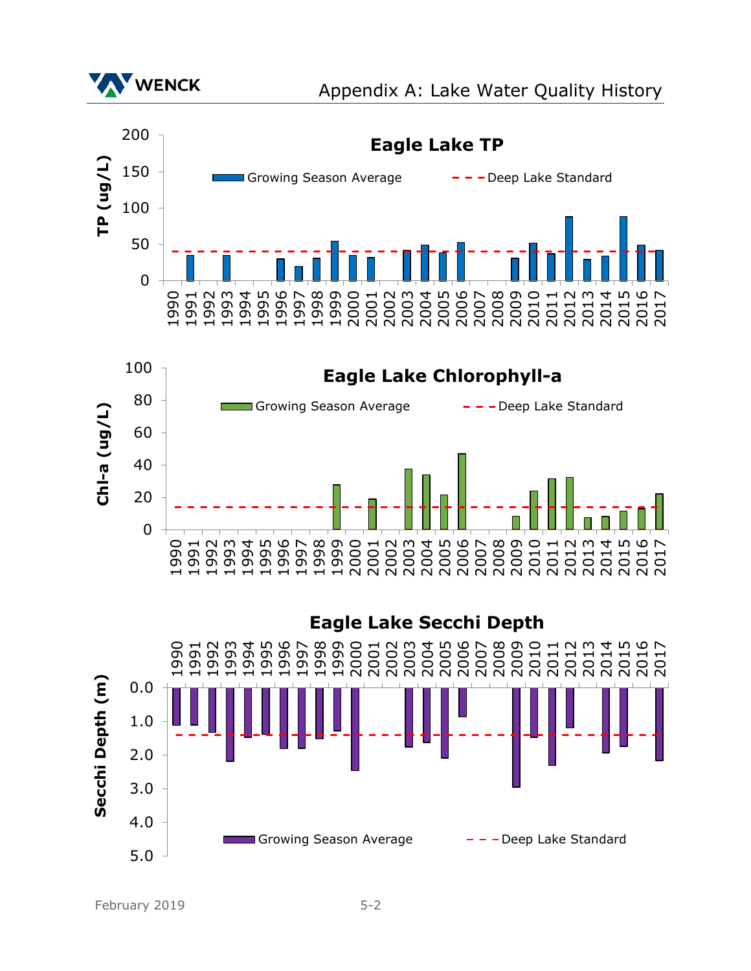